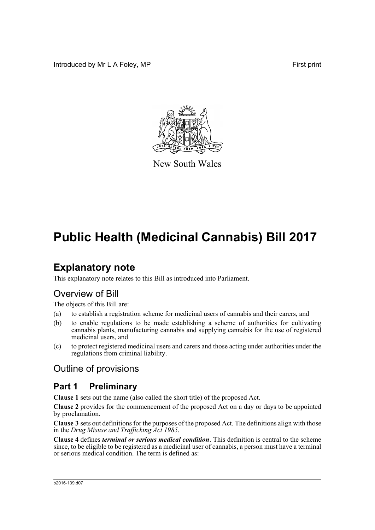Introduced by Mr L A Foley, MP **First** print



New South Wales

## **Public Health (Medicinal Cannabis) Bill 2017**

## **Explanatory note**

This explanatory note relates to this Bill as introduced into Parliament.

### Overview of Bill

The objects of this Bill are:

- (a) to establish a registration scheme for medicinal users of cannabis and their carers, and
- (b) to enable regulations to be made establishing a scheme of authorities for cultivating cannabis plants, manufacturing cannabis and supplying cannabis for the use of registered medicinal users, and
- (c) to protect registered medicinal users and carers and those acting under authorities under the regulations from criminal liability.

### Outline of provisions

### **Part 1 Preliminary**

**Clause 1** sets out the name (also called the short title) of the proposed Act.

**Clause 2** provides for the commencement of the proposed Act on a day or days to be appointed by proclamation.

**Clause 3** sets out definitions for the purposes of the proposed Act. The definitions align with those in the *Drug Misuse and Trafficking Act 1985*.

**Clause 4** defines *terminal or serious medical condition*. This definition is central to the scheme since, to be eligible to be registered as a medicinal user of cannabis, a person must have a terminal or serious medical condition. The term is defined as: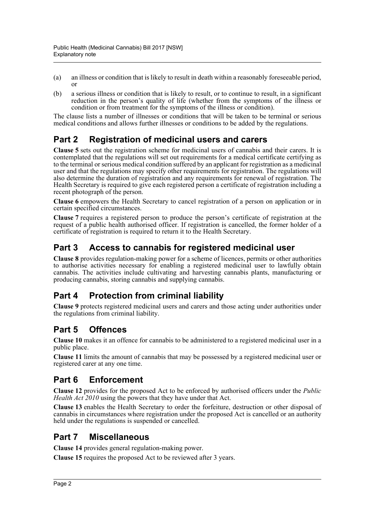- (a) an illness or condition that is likely to result in death within a reasonably foreseeable period, or
- (b) a serious illness or condition that is likely to result, or to continue to result, in a significant reduction in the person's quality of life (whether from the symptoms of the illness or condition or from treatment for the symptoms of the illness or condition).

The clause lists a number of illnesses or conditions that will be taken to be terminal or serious medical conditions and allows further illnesses or conditions to be added by the regulations.

### **Part 2 Registration of medicinal users and carers**

**Clause 5** sets out the registration scheme for medicinal users of cannabis and their carers. It is contemplated that the regulations will set out requirements for a medical certificate certifying as to the terminal or serious medical condition suffered by an applicant for registration as a medicinal user and that the regulations may specify other requirements for registration. The regulations will also determine the duration of registration and any requirements for renewal of registration. The Health Secretary is required to give each registered person a certificate of registration including a recent photograph of the person.

**Clause 6** empowers the Health Secretary to cancel registration of a person on application or in certain specified circumstances.

**Clause 7** requires a registered person to produce the person's certificate of registration at the request of a public health authorised officer. If registration is cancelled, the former holder of a certificate of registration is required to return it to the Health Secretary.

### **Part 3 Access to cannabis for registered medicinal user**

**Clause 8** provides regulation-making power for a scheme of licences, permits or other authorities to authorise activities necessary for enabling a registered medicinal user to lawfully obtain cannabis. The activities include cultivating and harvesting cannabis plants, manufacturing or producing cannabis, storing cannabis and supplying cannabis.

### **Part 4 Protection from criminal liability**

**Clause 9** protects registered medicinal users and carers and those acting under authorities under the regulations from criminal liability.

### **Part 5 Offences**

**Clause 10** makes it an offence for cannabis to be administered to a registered medicinal user in a public place.

**Clause 11** limits the amount of cannabis that may be possessed by a registered medicinal user or registered carer at any one time.

### **Part 6 Enforcement**

**Clause 12** provides for the proposed Act to be enforced by authorised officers under the *Public Health Act 2010* using the powers that they have under that Act.

**Clause 13** enables the Health Secretary to order the forfeiture, destruction or other disposal of cannabis in circumstances where registration under the proposed Act is cancelled or an authority held under the regulations is suspended or cancelled.

### **Part 7 Miscellaneous**

**Clause 14** provides general regulation-making power.

**Clause 15** requires the proposed Act to be reviewed after 3 years.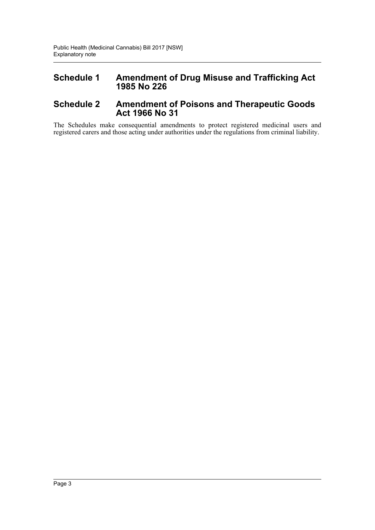#### **Schedule 1 Amendment of Drug Misuse and Trafficking Act 1985 No 226**

#### **Schedule 2 Amendment of Poisons and Therapeutic Goods Act 1966 No 31**

The Schedules make consequential amendments to protect registered medicinal users and registered carers and those acting under authorities under the regulations from criminal liability.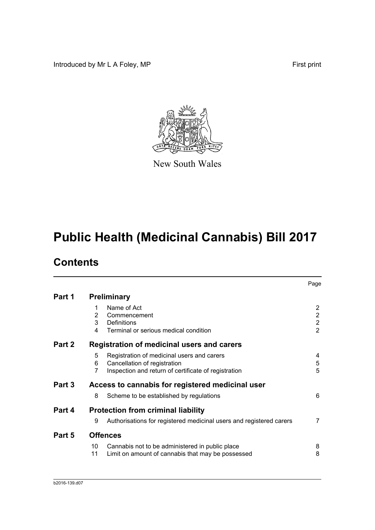Introduced by Mr L A Foley, MP First print



New South Wales

## **Public Health (Medicinal Cannabis) Bill 2017**

## **Contents**

|        |                                                  |                                                                                                                                    | Page                                                                 |  |
|--------|--------------------------------------------------|------------------------------------------------------------------------------------------------------------------------------------|----------------------------------------------------------------------|--|
| Part 1 |                                                  | <b>Preliminary</b>                                                                                                                 |                                                                      |  |
|        | 1<br>2<br>3<br>4                                 | Name of Act<br>Commencement<br>Definitions<br>Terminal or serious medical condition                                                | $\overline{2}$<br>$\overline{2}$<br>$\overline{2}$<br>$\overline{2}$ |  |
| Part 2 |                                                  | Registration of medicinal users and carers                                                                                         |                                                                      |  |
|        | 5<br>6<br>7                                      | Registration of medicinal users and carers<br>Cancellation of registration<br>Inspection and return of certificate of registration | 4<br>5<br>5                                                          |  |
| Part 3 | Access to cannabis for registered medicinal user |                                                                                                                                    |                                                                      |  |
|        | 8                                                | Scheme to be established by regulations                                                                                            | 6                                                                    |  |
| Part 4 | <b>Protection from criminal liability</b>        |                                                                                                                                    |                                                                      |  |
|        | 9                                                | Authorisations for registered medicinal users and registered carers                                                                | $\overline{7}$                                                       |  |
| Part 5 |                                                  | <b>Offences</b>                                                                                                                    |                                                                      |  |
|        | 10<br>11                                         | Cannabis not to be administered in public place<br>Limit on amount of cannabis that may be possessed                               | 8<br>8                                                               |  |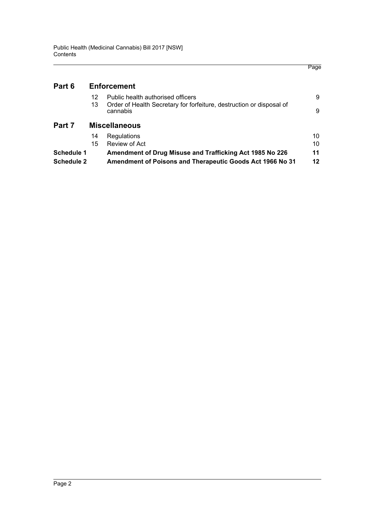| Part 6            |                      | <b>Enforcement</b>                                                               |    |
|-------------------|----------------------|----------------------------------------------------------------------------------|----|
|                   | 12                   | Public health authorised officers                                                | 9  |
|                   | 13                   | Order of Health Secretary for forfeiture, destruction or disposal of<br>cannabis | 9  |
| Part 7            | <b>Miscellaneous</b> |                                                                                  |    |
|                   | 14                   | Regulations                                                                      | 10 |
|                   | 15                   | Review of Act                                                                    | 10 |
| <b>Schedule 1</b> |                      | Amendment of Drug Misuse and Trafficking Act 1985 No 226                         | 11 |
| <b>Schedule 2</b> |                      | Amendment of Poisons and Therapeutic Goods Act 1966 No 31                        | 12 |

Page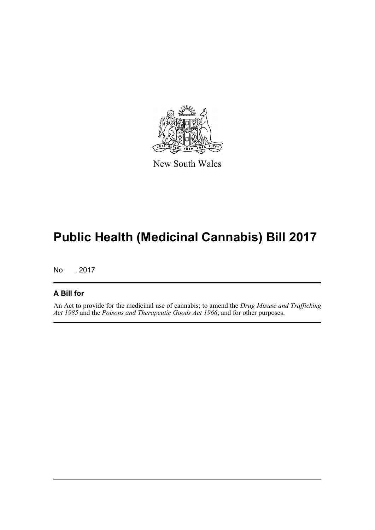

New South Wales

# **Public Health (Medicinal Cannabis) Bill 2017**

No , 2017

#### **A Bill for**

An Act to provide for the medicinal use of cannabis; to amend the *Drug Misuse and Trafficking Act 1985* and the *Poisons and Therapeutic Goods Act 1966*; and for other purposes.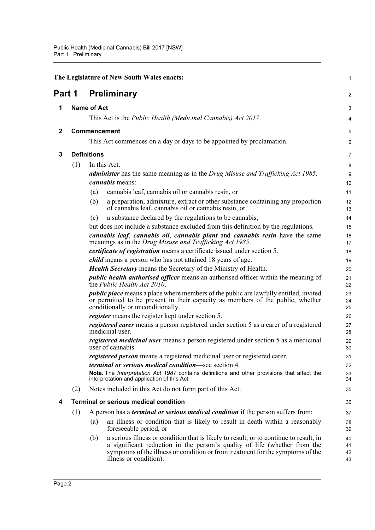<span id="page-6-4"></span><span id="page-6-3"></span><span id="page-6-2"></span><span id="page-6-1"></span><span id="page-6-0"></span>

|        |                     | The Legislature of New South Wales enacts:                                                                                                                                                                                                                                            | $\mathbf{1}$         |
|--------|---------------------|---------------------------------------------------------------------------------------------------------------------------------------------------------------------------------------------------------------------------------------------------------------------------------------|----------------------|
| Part 1 |                     | <b>Preliminary</b>                                                                                                                                                                                                                                                                    | 2                    |
| 1      |                     | <b>Name of Act</b>                                                                                                                                                                                                                                                                    | 3                    |
|        |                     | This Act is the <i>Public Health (Medicinal Cannabis) Act 2017</i> .                                                                                                                                                                                                                  | 4                    |
| 2      | <b>Commencement</b> |                                                                                                                                                                                                                                                                                       | 5                    |
|        |                     | This Act commences on a day or days to be appointed by proclamation.                                                                                                                                                                                                                  | 6                    |
| 3      | <b>Definitions</b>  |                                                                                                                                                                                                                                                                                       | $\overline{7}$       |
|        | (1)                 | In this Act:                                                                                                                                                                                                                                                                          | 8                    |
|        |                     | <b>administer</b> has the same meaning as in the Drug Misuse and Trafficking Act 1985.                                                                                                                                                                                                | $\boldsymbol{9}$     |
|        |                     | <i>cannabis</i> means:                                                                                                                                                                                                                                                                | 10                   |
|        |                     | cannabis leaf, cannabis oil or cannabis resin, or<br>(a)                                                                                                                                                                                                                              | 11                   |
|        |                     | a preparation, admixture, extract or other substance containing any proportion<br>(b)<br>of cannabis leaf, cannabis oil or cannabis resin, or                                                                                                                                         | 12<br>13             |
|        |                     | a substance declared by the regulations to be cannabis,<br>(c)                                                                                                                                                                                                                        | 14                   |
|        |                     | but does not include a substance excluded from this definition by the regulations.                                                                                                                                                                                                    | 15                   |
|        |                     | cannabis leaf, cannabis oil, cannabis plant and cannabis resin have the same<br>meanings as in the Drug Misuse and Trafficking Act 1985.                                                                                                                                              | 16<br>17             |
|        |                     | <i>certificate of registration</i> means a certificate issued under section 5.                                                                                                                                                                                                        | 18                   |
|        |                     | <i>child</i> means a person who has not attained 18 years of age.                                                                                                                                                                                                                     | 19                   |
|        |                     | <b>Health Secretary</b> means the Secretary of the Ministry of Health.                                                                                                                                                                                                                | 20                   |
|        |                     | <i>public health authorised officer</i> means an authorised officer within the meaning of<br>the Public Health Act 2010.                                                                                                                                                              | 21<br>22             |
|        |                     | <i>public place</i> means a place where members of the public are lawfully entitled, invited<br>or permitted to be present in their capacity as members of the public, whether<br>conditionally or unconditionally.                                                                   | 23<br>24<br>25       |
|        |                     | <i>register</i> means the register kept under section 5.                                                                                                                                                                                                                              | 26                   |
|        |                     | registered carer means a person registered under section 5 as a carer of a registered<br>medicinal user.                                                                                                                                                                              | 27<br>28             |
|        |                     | registered medicinal user means a person registered under section 5 as a medicinal<br>user of cannabis.                                                                                                                                                                               | 29<br>30             |
|        |                     | <i>registered person</i> means a registered medicinal user or registered carer.                                                                                                                                                                                                       | 31                   |
|        |                     | terminal or serious medical condition-see section 4.                                                                                                                                                                                                                                  | 32                   |
|        |                     | Note. The Interpretation Act 1987 contains definitions and other provisions that affect the<br>interpretation and application of this Act.                                                                                                                                            | 33<br>34             |
|        | (2)                 | Notes included in this Act do not form part of this Act.                                                                                                                                                                                                                              | 35                   |
| 4      |                     | <b>Terminal or serious medical condition</b>                                                                                                                                                                                                                                          | 36                   |
|        | (1)                 | A person has a <i>terminal or serious medical condition</i> if the person suffers from:                                                                                                                                                                                               | 37                   |
|        |                     | an illness or condition that is likely to result in death within a reasonably<br>(a)<br>foreseeable period, or                                                                                                                                                                        | 38<br>39             |
|        |                     | a serious illness or condition that is likely to result, or to continue to result, in<br>(b)<br>a significant reduction in the person's quality of life (whether from the<br>symptoms of the illness or condition or from treatment for the symptoms of the<br>illness or condition). | 40<br>41<br>42<br>43 |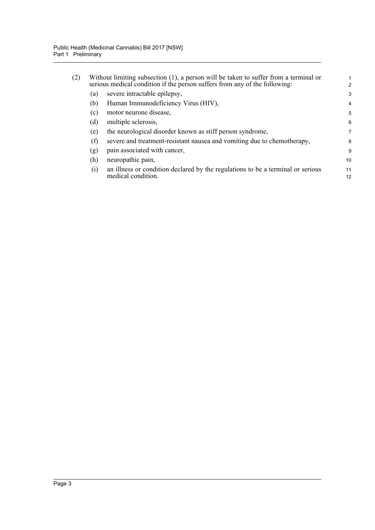| (2) | Without limiting subsection (1), a person will be taken to suffer from a terminal or<br>serious medical condition if the person suffers from any of the following: |                                                                                                       |          |
|-----|--------------------------------------------------------------------------------------------------------------------------------------------------------------------|-------------------------------------------------------------------------------------------------------|----------|
|     | (a)                                                                                                                                                                | severe intractable epilepsy,                                                                          | 3        |
|     | (b)                                                                                                                                                                | Human Immunodeficiency Virus (HIV),                                                                   | 4        |
|     | (c)                                                                                                                                                                | motor neurone disease,                                                                                | 5        |
|     | (d)                                                                                                                                                                | multiple sclerosis,                                                                                   | 6        |
|     | (e)                                                                                                                                                                | the neurological disorder known as stiff person syndrome,                                             | 7        |
|     | (f)                                                                                                                                                                | severe and treatment-resistant nausea and vomiting due to chemotherapy,                               | 8        |
|     | (g)                                                                                                                                                                | pain associated with cancer,                                                                          | 9        |
|     | (h)                                                                                                                                                                | neuropathic pain,                                                                                     | 10       |
|     | (i)                                                                                                                                                                | an illness or condition declared by the regulations to be a terminal or serious<br>medical condition. | 11<br>12 |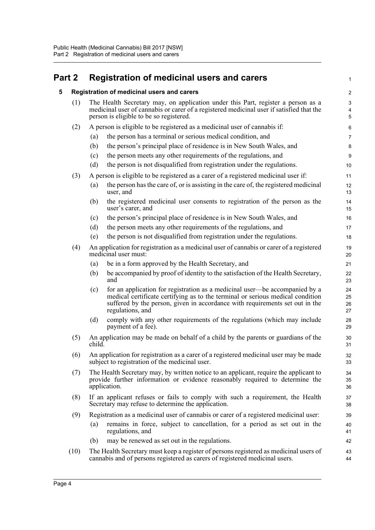### <span id="page-8-1"></span><span id="page-8-0"></span>**Part 2 Registration of medicinal users and carers**

| 5 |      |                                                                                                                                                                                                                         | Registration of medicinal users and carers                                                                                                                                                                                                                        | $\overline{\mathbf{c}}$ |
|---|------|-------------------------------------------------------------------------------------------------------------------------------------------------------------------------------------------------------------------------|-------------------------------------------------------------------------------------------------------------------------------------------------------------------------------------------------------------------------------------------------------------------|-------------------------|
|   | (1)  | The Health Secretary may, on application under this Part, register a person as a<br>medicinal user of cannabis or carer of a registered medicinal user if satisfied that the<br>person is eligible to be so registered. |                                                                                                                                                                                                                                                                   |                         |
|   | (2)  | A person is eligible to be registered as a medicinal user of cannabis if:                                                                                                                                               |                                                                                                                                                                                                                                                                   |                         |
|   |      | (a)                                                                                                                                                                                                                     | the person has a terminal or serious medical condition, and                                                                                                                                                                                                       | 6<br>7                  |
|   |      | (b)                                                                                                                                                                                                                     | the person's principal place of residence is in New South Wales, and                                                                                                                                                                                              | 8                       |
|   |      | (c)                                                                                                                                                                                                                     | the person meets any other requirements of the regulations, and                                                                                                                                                                                                   | 9                       |
|   |      | (d)                                                                                                                                                                                                                     | the person is not disqualified from registration under the regulations.                                                                                                                                                                                           | 10                      |
|   | (3)  |                                                                                                                                                                                                                         | A person is eligible to be registered as a carer of a registered medicinal user if:                                                                                                                                                                               | 11                      |
|   |      | (a)                                                                                                                                                                                                                     | the person has the care of, or is assisting in the care of, the registered medicinal<br>user, and                                                                                                                                                                 | 12<br>13                |
|   |      | (b)                                                                                                                                                                                                                     | the registered medicinal user consents to registration of the person as the<br>user's carer, and                                                                                                                                                                  | 14<br>15                |
|   |      | (c)                                                                                                                                                                                                                     | the person's principal place of residence is in New South Wales, and                                                                                                                                                                                              | 16                      |
|   |      | (d)                                                                                                                                                                                                                     | the person meets any other requirements of the regulations, and                                                                                                                                                                                                   | 17                      |
|   |      | (e)                                                                                                                                                                                                                     | the person is not disqualified from registration under the regulations.                                                                                                                                                                                           | 18                      |
|   | (4)  |                                                                                                                                                                                                                         | An application for registration as a medicinal user of cannabis or carer of a registered<br>medicinal user must:                                                                                                                                                  | 19<br>20                |
|   |      | (a)                                                                                                                                                                                                                     | be in a form approved by the Health Secretary, and                                                                                                                                                                                                                | 21                      |
|   |      | (b)                                                                                                                                                                                                                     | be accompanied by proof of identity to the satisfaction of the Health Secretary,<br>and                                                                                                                                                                           | 22<br>23                |
|   |      | (c)                                                                                                                                                                                                                     | for an application for registration as a medicinal user—be accompanied by a<br>medical certificate certifying as to the terminal or serious medical condition<br>suffered by the person, given in accordance with requirements set out in the<br>regulations, and | 24<br>25<br>26<br>27    |
|   |      | (d)                                                                                                                                                                                                                     | comply with any other requirements of the regulations (which may include<br>payment of a fee).                                                                                                                                                                    | 28<br>29                |
|   | (5)  | An application may be made on behalf of a child by the parents or guardians of the<br>child.                                                                                                                            |                                                                                                                                                                                                                                                                   | 30<br>31                |
|   | (6)  | An application for registration as a carer of a registered medicinal user may be made<br>subject to registration of the medicinal user.                                                                                 |                                                                                                                                                                                                                                                                   | 32<br>33                |
|   | (7)  | The Health Secretary may, by written notice to an applicant, require the applicant to<br>provide further information or evidence reasonably required to determine the<br>application.                                   |                                                                                                                                                                                                                                                                   | 34<br>35<br>36          |
|   | (8)  | If an applicant refuses or fails to comply with such a requirement, the Health<br>Secretary may refuse to determine the application.                                                                                    |                                                                                                                                                                                                                                                                   | 37<br>38                |
|   | (9)  |                                                                                                                                                                                                                         | Registration as a medicinal user of cannabis or carer of a registered medicinal user:                                                                                                                                                                             | 39                      |
|   |      | (a)                                                                                                                                                                                                                     | remains in force, subject to cancellation, for a period as set out in the<br>regulations, and                                                                                                                                                                     | 40<br>41                |
|   |      | (b)                                                                                                                                                                                                                     | may be renewed as set out in the regulations.                                                                                                                                                                                                                     | 42                      |
|   | (10) |                                                                                                                                                                                                                         | The Health Secretary must keep a register of persons registered as medicinal users of<br>cannabis and of persons registered as carers of registered medicinal users.                                                                                              | 43<br>44                |
|   |      |                                                                                                                                                                                                                         |                                                                                                                                                                                                                                                                   |                         |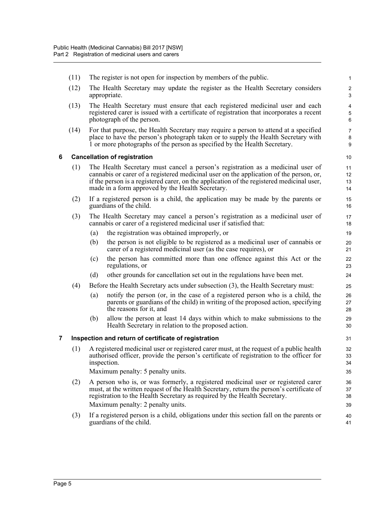<span id="page-9-1"></span><span id="page-9-0"></span>(11) The register is not open for inspection by members of the public. (12) The Health Secretary may update the register as the Health Secretary considers appropriate. (13) The Health Secretary must ensure that each registered medicinal user and each registered carer is issued with a certificate of registration that incorporates a recent photograph of the person. (14) For that purpose, the Health Secretary may require a person to attend at a specified place to have the person's photograph taken or to supply the Health Secretary with 1 or more photographs of the person as specified by the Health Secretary. **6 Cancellation of registration** (1) The Health Secretary must cancel a person's registration as a medicinal user of cannabis or carer of a registered medicinal user on the application of the person, or, if the person is a registered carer, on the application of the registered medicinal user, made in a form approved by the Health Secretary. (2) If a registered person is a child, the application may be made by the parents or guardians of the child. (3) The Health Secretary may cancel a person's registration as a medicinal user of cannabis or carer of a registered medicinal user if satisfied that: (a) the registration was obtained improperly, or (b) the person is not eligible to be registered as a medicinal user of cannabis or carer of a registered medicinal user (as the case requires), or (c) the person has committed more than one offence against this Act or the regulations, or (d) other grounds for cancellation set out in the regulations have been met. (4) Before the Health Secretary acts under subsection (3), the Health Secretary must: (a) notify the person (or, in the case of a registered person who is a child, the parents or guardians of the child) in writing of the proposed action, specifying the reasons for it, and (b) allow the person at least 14 days within which to make submissions to the Health Secretary in relation to the proposed action. **7 Inspection and return of certificate of registration** (1) A registered medicinal user or registered carer must, at the request of a public health authorised officer, provide the person's certificate of registration to the officer for inspection. Maximum penalty: 5 penalty units. (2) A person who is, or was formerly, a registered medicinal user or registered carer must, at the written request of the Health Secretary, return the person's certificate of registration to the Health Secretary as required by the Health Secretary. Maximum penalty: 2 penalty units. (3) If a registered person is a child, obligations under this section fall on the parents or guardians of the child. 1  $\overline{2}$ 3 4 5 6 7 8 9 10 11 12 13 14 15 16 17 18 19  $20$ 21 22 23 24 25 26 27 28 29 30 31 32 33 34 35 36 37 38 39 40 41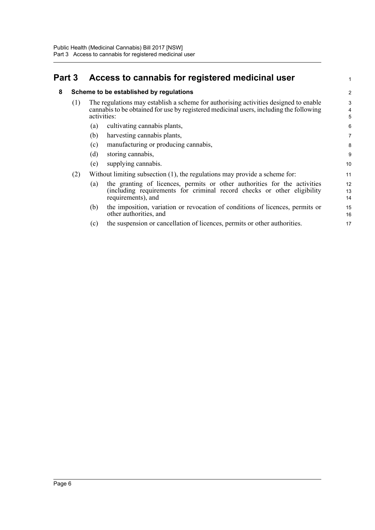### <span id="page-10-1"></span><span id="page-10-0"></span>**Part 3 Access to cannabis for registered medicinal user**

#### **8 Scheme to be established by regulations**

| The regulations may establish a scheme for authorising activities designed to enable<br>cannabis to be obtained for use by registered medicinal users, including the following<br>activities: |  |
|-----------------------------------------------------------------------------------------------------------------------------------------------------------------------------------------------|--|
|-----------------------------------------------------------------------------------------------------------------------------------------------------------------------------------------------|--|

1

- (a) cultivating cannabis plants,
- (b) harvesting cannabis plants,
- (c) manufacturing or producing cannabis,
- (d) storing cannabis,
- (e) supplying cannabis.
- (2) Without limiting subsection (1), the regulations may provide a scheme for:
	- (a) the granting of licences, permits or other authorities for the activities (including requirements for criminal record checks or other eligibility requirements), and 12 13 14
	- (b) the imposition, variation or revocation of conditions of licences, permits or other authorities, and 15 16
	- (c) the suspension or cancellation of licences, permits or other authorities.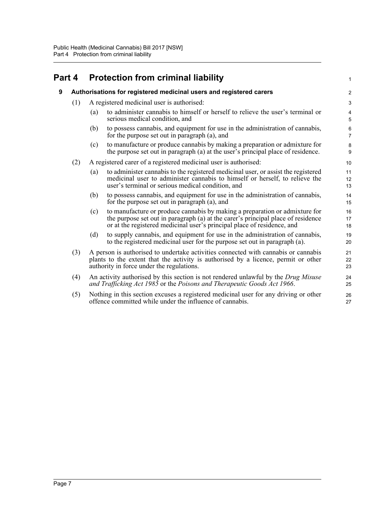#### <span id="page-11-1"></span><span id="page-11-0"></span>**Part 4 Protection from criminal liability 9 Authorisations for registered medicinal users and registered carers** (1) A registered medicinal user is authorised: (a) to administer cannabis to himself or herself to relieve the user's terminal or serious medical condition, and (b) to possess cannabis, and equipment for use in the administration of cannabis, for the purpose set out in paragraph (a), and (c) to manufacture or produce cannabis by making a preparation or admixture for the purpose set out in paragraph (a) at the user's principal place of residence. (2) A registered carer of a registered medicinal user is authorised: (a) to administer cannabis to the registered medicinal user, or assist the registered medicinal user to administer cannabis to himself or herself, to relieve the user's terminal or serious medical condition, and (b) to possess cannabis, and equipment for use in the administration of cannabis, for the purpose set out in paragraph (a), and (c) to manufacture or produce cannabis by making a preparation or admixture for the purpose set out in paragraph (a) at the carer's principal place of residence or at the registered medicinal user's principal place of residence, and (d) to supply cannabis, and equipment for use in the administration of cannabis, to the registered medicinal user for the purpose set out in paragraph (a). (3) A person is authorised to undertake activities connected with cannabis or cannabis plants to the extent that the activity is authorised by a licence, permit or other authority in force under the regulations. (4) An activity authorised by this section is not rendered unlawful by the *Drug Misuse and Trafficking Act 1985* or the *Poisons and Therapeutic Goods Act 1966*. (5) Nothing in this section excuses a registered medicinal user for any driving or other offence committed while under the influence of cannabis. 1  $\overline{2}$ 3 4 5 6 7 8  $\overline{Q}$ 10 11 12 13 14 15 16 17 18 19 20 21 22 23 24 25 26 27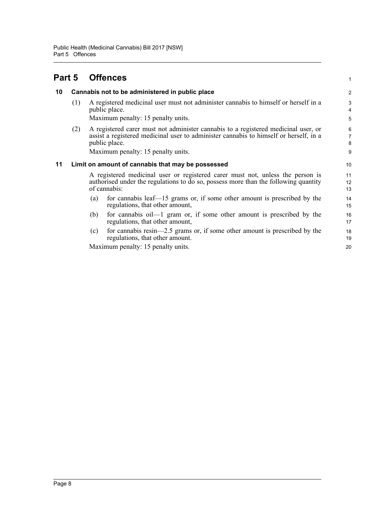### <span id="page-12-0"></span>**Part 5 Offences**

#### <span id="page-12-1"></span>**10 Cannabis not to be administered in public place**

(1) A registered medicinal user must not administer cannabis to himself or herself in a public place.

Maximum penalty: 15 penalty units.

(2) A registered carer must not administer cannabis to a registered medicinal user, or assist a registered medicinal user to administer cannabis to himself or herself, in a public place.

Maximum penalty: 15 penalty units.

#### <span id="page-12-2"></span>**11 Limit on amount of cannabis that may be possessed**

A registered medicinal user or registered carer must not, unless the person is authorised under the regulations to do so, possess more than the following quantity of cannabis:

1

- (a) for cannabis leaf—15 grams or, if some other amount is prescribed by the regulations, that other amount,
- (b) for cannabis oil—1 gram or, if some other amount is prescribed by the regulations, that other amount,
- (c) for cannabis resin—2.5 grams or, if some other amount is prescribed by the regulations, that other amount.

Maximum penalty: 15 penalty units.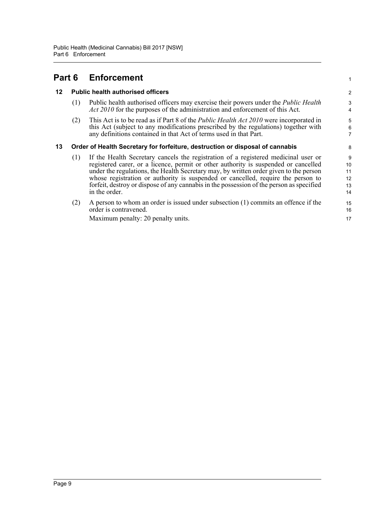<span id="page-13-2"></span><span id="page-13-1"></span><span id="page-13-0"></span>

| Part 6 |                                                                               | <b>Enforcement</b>                                                                                                                                                                                                                                                                                                                                                                                                                                                  |                                 |
|--------|-------------------------------------------------------------------------------|---------------------------------------------------------------------------------------------------------------------------------------------------------------------------------------------------------------------------------------------------------------------------------------------------------------------------------------------------------------------------------------------------------------------------------------------------------------------|---------------------------------|
| 12     |                                                                               | <b>Public health authorised officers</b>                                                                                                                                                                                                                                                                                                                                                                                                                            | $\overline{\mathbf{c}}$         |
|        | (1)                                                                           | Public health authorised officers may exercise their powers under the <i>Public Health</i><br><i>Act 2010</i> for the purposes of the administration and enforcement of this Act.                                                                                                                                                                                                                                                                                   | 3                               |
|        | (2)                                                                           | This Act is to be read as if Part 8 of the <i>Public Health Act 2010</i> were incorporated in<br>this Act (subject to any modifications prescribed by the regulations) together with<br>any definitions contained in that Act of terms used in that Part.                                                                                                                                                                                                           | 5<br>6<br>7                     |
| 13     | Order of Health Secretary for forfeiture, destruction or disposal of cannabis |                                                                                                                                                                                                                                                                                                                                                                                                                                                                     |                                 |
|        | (1)                                                                           | If the Health Secretary cancels the registration of a registered medicinal user or<br>registered carer, or a licence, permit or other authority is suspended or cancelled<br>under the regulations, the Health Secretary may, by written order given to the person<br>whose registration or authority is suspended or cancelled, require the person to<br>forfeit, destroy or dispose of any cannabis in the possession of the person as specified<br>in the order. | 9<br>10<br>11<br>12<br>13<br>14 |
|        | (2)                                                                           | A person to whom an order is issued under subsection (1) commits an offence if the<br>order is contravened.<br>Maximum penalty: 20 penalty units.                                                                                                                                                                                                                                                                                                                   | 15<br>16<br>17                  |
|        |                                                                               |                                                                                                                                                                                                                                                                                                                                                                                                                                                                     |                                 |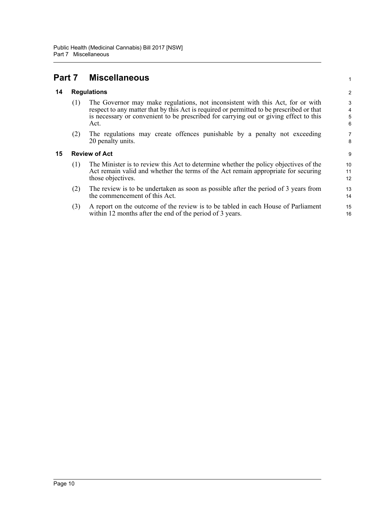### <span id="page-14-0"></span>**Part 7 Miscellaneous**

#### <span id="page-14-1"></span>**14 Regulations**

(1) The Governor may make regulations, not inconsistent with this Act, for or with respect to any matter that by this Act is required or permitted to be prescribed or that is necessary or convenient to be prescribed for carrying out or giving effect to this Act.

1

(2) The regulations may create offences punishable by a penalty not exceeding 20 penalty units.

#### <span id="page-14-2"></span>**15 Review of Act**

- (1) The Minister is to review this Act to determine whether the policy objectives of the Act remain valid and whether the terms of the Act remain appropriate for securing those objectives.
- (2) The review is to be undertaken as soon as possible after the period of 3 years from the commencement of this Act.
- (3) A report on the outcome of the review is to be tabled in each House of Parliament within 12 months after the end of the period of 3 years.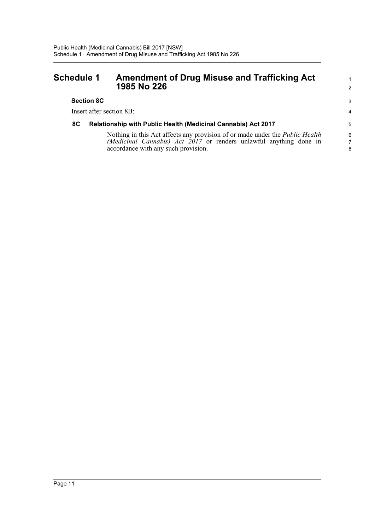#### <span id="page-15-0"></span>**Schedule 1 Amendment of Drug Misuse and Trafficking Act 1985 No 226**

#### **Section 8C**

Insert after section 8B:

#### **8C Relationship with Public Health (Medicinal Cannabis) Act 2017**

Nothing in this Act affects any provision of or made under the *Public Health (Medicinal Cannabis) Act 2017* or renders unlawful anything done in accordance with any such provision.

1 2

3 4